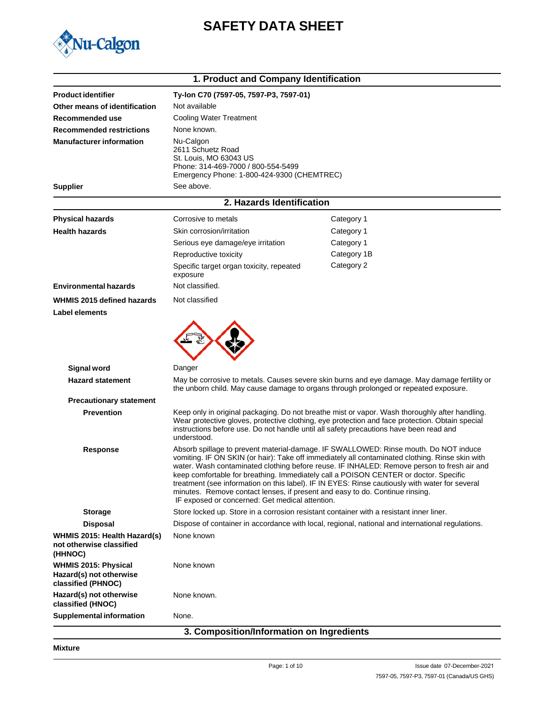

# **SAFETY DATA SHEET**

|                                                                              | 1. Product and Company Identification                                                                                                                                                                                                                                                                                                                                                                                                                                                                                                                                                                              |                                                                                                  |  |
|------------------------------------------------------------------------------|--------------------------------------------------------------------------------------------------------------------------------------------------------------------------------------------------------------------------------------------------------------------------------------------------------------------------------------------------------------------------------------------------------------------------------------------------------------------------------------------------------------------------------------------------------------------------------------------------------------------|--------------------------------------------------------------------------------------------------|--|
| <b>Product identifier</b>                                                    | Ty-lon C70 (7597-05, 7597-P3, 7597-01)                                                                                                                                                                                                                                                                                                                                                                                                                                                                                                                                                                             |                                                                                                  |  |
| Other means of identification                                                | Not available                                                                                                                                                                                                                                                                                                                                                                                                                                                                                                                                                                                                      |                                                                                                  |  |
| Recommended use                                                              | <b>Cooling Water Treatment</b>                                                                                                                                                                                                                                                                                                                                                                                                                                                                                                                                                                                     |                                                                                                  |  |
| <b>Recommended restrictions</b>                                              | None known.                                                                                                                                                                                                                                                                                                                                                                                                                                                                                                                                                                                                        |                                                                                                  |  |
| <b>Manufacturer information</b>                                              | Nu-Calgon<br>2611 Schuetz Road<br>St. Louis, MO 63043 US<br>Phone: 314-469-7000 / 800-554-5499<br>Emergency Phone: 1-800-424-9300 (CHEMTREC)                                                                                                                                                                                                                                                                                                                                                                                                                                                                       |                                                                                                  |  |
| <b>Supplier</b>                                                              | See above.                                                                                                                                                                                                                                                                                                                                                                                                                                                                                                                                                                                                         |                                                                                                  |  |
|                                                                              | 2. Hazards Identification                                                                                                                                                                                                                                                                                                                                                                                                                                                                                                                                                                                          |                                                                                                  |  |
| <b>Physical hazards</b>                                                      | Corrosive to metals                                                                                                                                                                                                                                                                                                                                                                                                                                                                                                                                                                                                | Category 1                                                                                       |  |
| <b>Health hazards</b>                                                        | Skin corrosion/irritation                                                                                                                                                                                                                                                                                                                                                                                                                                                                                                                                                                                          | Category 1                                                                                       |  |
|                                                                              | Serious eye damage/eye irritation                                                                                                                                                                                                                                                                                                                                                                                                                                                                                                                                                                                  | Category 1                                                                                       |  |
|                                                                              | Reproductive toxicity                                                                                                                                                                                                                                                                                                                                                                                                                                                                                                                                                                                              | Category 1B                                                                                      |  |
|                                                                              | Specific target organ toxicity, repeated<br>exposure                                                                                                                                                                                                                                                                                                                                                                                                                                                                                                                                                               | Category 2                                                                                       |  |
| <b>Environmental hazards</b>                                                 | Not classified.                                                                                                                                                                                                                                                                                                                                                                                                                                                                                                                                                                                                    |                                                                                                  |  |
| WHMIS 2015 defined hazards                                                   | Not classified                                                                                                                                                                                                                                                                                                                                                                                                                                                                                                                                                                                                     |                                                                                                  |  |
| Label elements                                                               |                                                                                                                                                                                                                                                                                                                                                                                                                                                                                                                                                                                                                    |                                                                                                  |  |
|                                                                              |                                                                                                                                                                                                                                                                                                                                                                                                                                                                                                                                                                                                                    |                                                                                                  |  |
| <b>Signal word</b>                                                           | Danger                                                                                                                                                                                                                                                                                                                                                                                                                                                                                                                                                                                                             |                                                                                                  |  |
| <b>Hazard statement</b>                                                      | the unborn child. May cause damage to organs through prolonged or repeated exposure.                                                                                                                                                                                                                                                                                                                                                                                                                                                                                                                               | May be corrosive to metals. Causes severe skin burns and eye damage. May damage fertility or     |  |
| <b>Precautionary statement</b>                                               |                                                                                                                                                                                                                                                                                                                                                                                                                                                                                                                                                                                                                    |                                                                                                  |  |
| <b>Prevention</b>                                                            | Keep only in original packaging. Do not breathe mist or vapor. Wash thoroughly after handling.<br>Wear protective gloves, protective clothing, eye protection and face protection. Obtain special<br>instructions before use. Do not handle until all safety precautions have been read and<br>understood.                                                                                                                                                                                                                                                                                                         |                                                                                                  |  |
| <b>Response</b>                                                              | Absorb spillage to prevent material-damage. IF SWALLOWED: Rinse mouth. Do NOT induce<br>vomiting. IF ON SKIN (or hair): Take off immediately all contaminated clothing. Rinse skin with<br>water. Wash contaminated clothing before reuse. IF INHALED: Remove person to fresh air and<br>keep comfortable for breathing. Immediately call a POISON CENTER or doctor. Specific<br>treatment (see information on this label). IF IN EYES: Rinse cautiously with water for several<br>minutes. Remove contact lenses, if present and easy to do. Continue rinsing.<br>IF exposed or concerned: Get medical attention. |                                                                                                  |  |
| <b>Storage</b>                                                               | Store locked up. Store in a corrosion resistant container with a resistant inner liner.                                                                                                                                                                                                                                                                                                                                                                                                                                                                                                                            |                                                                                                  |  |
| <b>Disposal</b>                                                              |                                                                                                                                                                                                                                                                                                                                                                                                                                                                                                                                                                                                                    | Dispose of container in accordance with local, regional, national and international regulations. |  |
| WHMIS 2015: Health Hazard(s)<br>not otherwise classified<br>(HHNOC)          | None known                                                                                                                                                                                                                                                                                                                                                                                                                                                                                                                                                                                                         |                                                                                                  |  |
| <b>WHMIS 2015: Physical</b><br>Hazard(s) not otherwise<br>classified (PHNOC) | None known                                                                                                                                                                                                                                                                                                                                                                                                                                                                                                                                                                                                         |                                                                                                  |  |
| Hazard(s) not otherwise<br>classified (HNOC)                                 | None known.                                                                                                                                                                                                                                                                                                                                                                                                                                                                                                                                                                                                        |                                                                                                  |  |
| <b>Supplemental information</b>                                              | None.                                                                                                                                                                                                                                                                                                                                                                                                                                                                                                                                                                                                              |                                                                                                  |  |

### **3. Composition/Information on Ingredients**

**Mixture**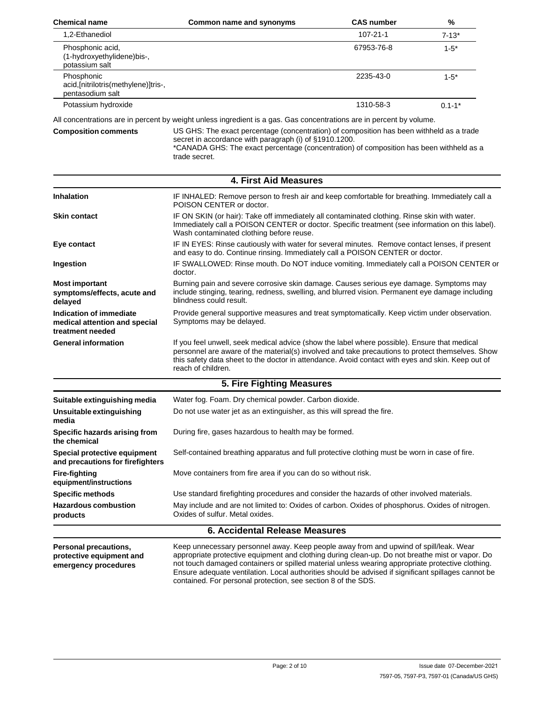| Common name and synonyms | <b>CAS number</b> | %          |
|--------------------------|-------------------|------------|
|                          | $107 - 21 - 1$    | $7 - 13*$  |
|                          | 67953-76-8        | $1 - 5^*$  |
|                          | 2235-43-0         | $1 - 5^*$  |
|                          | 1310-58-3         | $0.1 - 1*$ |
|                          |                   |            |

All concentrations are in percent by weight unless ingredient is a gas. Gas concentrations are in percent by volume.

#### **Composition comments** US GHS: The exact percentage (concentration) of composition has been withheld as a trade secret in accordance with paragraph (i) of §1910.1200. \*CANADA GHS: The exact percentage (concentration) of composition has been withheld as a trade secret.

|                                                                              | <b>4. First Aid Measures</b>                                                                                                                                                                                                                                                                                                |
|------------------------------------------------------------------------------|-----------------------------------------------------------------------------------------------------------------------------------------------------------------------------------------------------------------------------------------------------------------------------------------------------------------------------|
| <b>Inhalation</b>                                                            | IF INHALED: Remove person to fresh air and keep comfortable for breathing. Immediately call a<br>POISON CENTER or doctor.                                                                                                                                                                                                   |
| <b>Skin contact</b>                                                          | IF ON SKIN (or hair): Take off immediately all contaminated clothing. Rinse skin with water.<br>Immediately call a POISON CENTER or doctor. Specific treatment (see information on this label).<br>Wash contaminated clothing before reuse.                                                                                 |
| Eye contact                                                                  | IF IN EYES: Rinse cautiously with water for several minutes. Remove contact lenses, if present<br>and easy to do. Continue rinsing. Immediately call a POISON CENTER or doctor.                                                                                                                                             |
| Ingestion                                                                    | IF SWALLOWED: Rinse mouth. Do NOT induce vomiting. Immediately call a POISON CENTER or<br>doctor.                                                                                                                                                                                                                           |
| <b>Most important</b><br>symptoms/effects, acute and<br>delayed              | Burning pain and severe corrosive skin damage. Causes serious eye damage. Symptoms may<br>include stinging, tearing, redness, swelling, and blurred vision. Permanent eye damage including<br>blindness could result.                                                                                                       |
| Indication of immediate<br>medical attention and special<br>treatment needed | Provide general supportive measures and treat symptomatically. Keep victim under observation.<br>Symptoms may be delayed.                                                                                                                                                                                                   |
| <b>General information</b>                                                   | If you feel unwell, seek medical advice (show the label where possible). Ensure that medical<br>personnel are aware of the material(s) involved and take precautions to protect themselves. Show<br>this safety data sheet to the doctor in attendance. Avoid contact with eyes and skin. Keep out of<br>reach of children. |
|                                                                              | 5. Fire Fighting Measures                                                                                                                                                                                                                                                                                                   |
| Suitable extinguishing media                                                 | Water fog. Foam. Dry chemical powder. Carbon dioxide.                                                                                                                                                                                                                                                                       |
| Unsuitable extinguishing<br>media                                            | Do not use water jet as an extinguisher, as this will spread the fire.                                                                                                                                                                                                                                                      |
| Specific hazards arising from<br>the chemical                                | During fire, gases hazardous to health may be formed.                                                                                                                                                                                                                                                                       |
| Special protective equipment<br>and precautions for firefighters             | Self-contained breathing apparatus and full protective clothing must be worn in case of fire.                                                                                                                                                                                                                               |
| <b>Fire-fighting</b><br>equipment/instructions                               | Move containers from fire area if you can do so without risk.                                                                                                                                                                                                                                                               |
| <b>Specific methods</b>                                                      | Use standard firefighting procedures and consider the hazards of other involved materials.                                                                                                                                                                                                                                  |
| <b>Hazardous combustion</b><br>products                                      | May include and are not limited to: Oxides of carbon. Oxides of phosphorus. Oxides of nitrogen.<br>Oxides of sulfur. Metal oxides.                                                                                                                                                                                          |
|                                                                              | <b>6. Accidental Release Measures</b>                                                                                                                                                                                                                                                                                       |
| <b>Dorconal procoutions</b>                                                  | Keep unnecessary personnel quay, Keep people quay from and unwind of spillback Wear                                                                                                                                                                                                                                         |

**Personal precautions, protective equipment and emergency procedures**

Keep unnecessary personnel away. Keep people away from and upwind of spill/leak. Wear appropriate protective equipment and clothing during clean-up. Do not breathe mist or vapor. Do not touch damaged containers or spilled material unless wearing appropriate protective clothing. Ensure adequate ventilation. Local authorities should be advised if significant spillages cannot be contained. For personal protection, see section 8 of the SDS.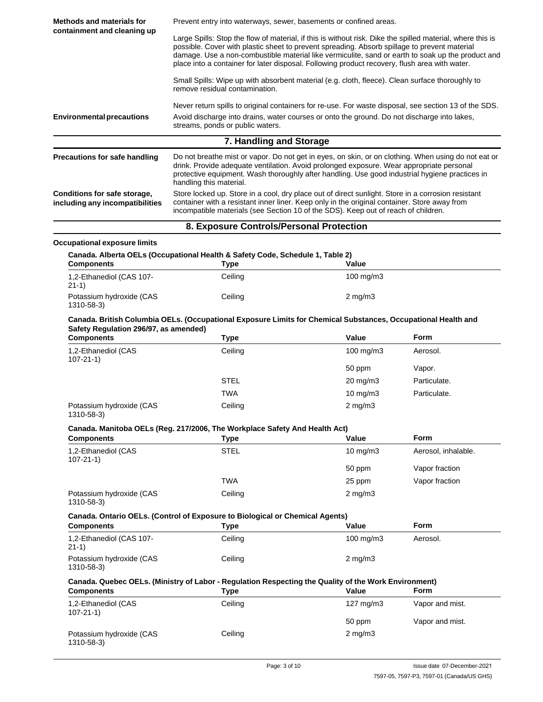| Methods and materials for                                                                                                                                                                                                                                                                                                                                                                                                                       | Prevent entry into waterways, sewer, basements or confined areas.                                                                                                                                                                                                                                                            |                      |                         |
|-------------------------------------------------------------------------------------------------------------------------------------------------------------------------------------------------------------------------------------------------------------------------------------------------------------------------------------------------------------------------------------------------------------------------------------------------|------------------------------------------------------------------------------------------------------------------------------------------------------------------------------------------------------------------------------------------------------------------------------------------------------------------------------|----------------------|-------------------------|
| containment and cleaning up<br>Large Spills: Stop the flow of material, if this is without risk. Dike the spilled material, where this is<br>possible. Cover with plastic sheet to prevent spreading. Absorb spillage to prevent material<br>damage. Use a non-combustible material like vermiculite, sand or earth to soak up the product and<br>place into a container for later disposal. Following product recovery, flush area with water. |                                                                                                                                                                                                                                                                                                                              |                      |                         |
|                                                                                                                                                                                                                                                                                                                                                                                                                                                 | Small Spills: Wipe up with absorbent material (e.g. cloth, fleece). Clean surface thoroughly to<br>remove residual contamination.                                                                                                                                                                                            |                      |                         |
| <b>Environmental precautions</b>                                                                                                                                                                                                                                                                                                                                                                                                                | Never return spills to original containers for re-use. For waste disposal, see section 13 of the SDS.<br>Avoid discharge into drains, water courses or onto the ground. Do not discharge into lakes,<br>streams, ponds or public waters.                                                                                     |                      |                         |
|                                                                                                                                                                                                                                                                                                                                                                                                                                                 | 7. Handling and Storage                                                                                                                                                                                                                                                                                                      |                      |                         |
| <b>Precautions for safe handling</b>                                                                                                                                                                                                                                                                                                                                                                                                            | Do not breathe mist or vapor. Do not get in eyes, on skin, or on clothing. When using do not eat or<br>drink. Provide adequate ventilation. Avoid prolonged exposure. Wear appropriate personal<br>protective equipment. Wash thoroughly after handling. Use good industrial hygiene practices in<br>handling this material. |                      |                         |
| <b>Conditions for safe storage,</b><br>including any incompatibilities                                                                                                                                                                                                                                                                                                                                                                          | Store locked up. Store in a cool, dry place out of direct sunlight. Store in a corrosion resistant<br>container with a resistant inner liner. Keep only in the original container. Store away from<br>incompatible materials (see Section 10 of the SDS). Keep out of reach of children.                                     |                      |                         |
|                                                                                                                                                                                                                                                                                                                                                                                                                                                 | 8. Exposure Controls/Personal Protection                                                                                                                                                                                                                                                                                     |                      |                         |
| <b>Occupational exposure limits</b>                                                                                                                                                                                                                                                                                                                                                                                                             |                                                                                                                                                                                                                                                                                                                              |                      |                         |
| <b>Components</b>                                                                                                                                                                                                                                                                                                                                                                                                                               | Canada. Alberta OELs (Occupational Health & Safety Code, Schedule 1, Table 2)<br><b>Type</b>                                                                                                                                                                                                                                 | Value                |                         |
| 1,2-Ethanediol (CAS 107-<br>$21-1)$                                                                                                                                                                                                                                                                                                                                                                                                             | Ceiling                                                                                                                                                                                                                                                                                                                      | $100$ mg/m $3$       |                         |
| Potassium hydroxide (CAS<br>1310-58-3)                                                                                                                                                                                                                                                                                                                                                                                                          | Ceiling                                                                                                                                                                                                                                                                                                                      | $2$ mg/m $3$         |                         |
| Safety Regulation 296/97, as amended)                                                                                                                                                                                                                                                                                                                                                                                                           | Canada. British Columbia OELs. (Occupational Exposure Limits for Chemical Substances, Occupational Health and                                                                                                                                                                                                                |                      |                         |
| <b>Components</b><br>1,2-Ethanediol (CAS                                                                                                                                                                                                                                                                                                                                                                                                        | <b>Type</b><br>Ceiling                                                                                                                                                                                                                                                                                                       | Value<br>100 mg/m3   | <b>Form</b><br>Aerosol. |
| $107 - 21 - 1$                                                                                                                                                                                                                                                                                                                                                                                                                                  |                                                                                                                                                                                                                                                                                                                              |                      |                         |
|                                                                                                                                                                                                                                                                                                                                                                                                                                                 |                                                                                                                                                                                                                                                                                                                              | 50 ppm               | Vapor.                  |
|                                                                                                                                                                                                                                                                                                                                                                                                                                                 | <b>STEL</b>                                                                                                                                                                                                                                                                                                                  | 20 mg/m3             | Particulate.            |
|                                                                                                                                                                                                                                                                                                                                                                                                                                                 | <b>TWA</b>                                                                                                                                                                                                                                                                                                                   | 10 mg/m3             | Particulate.            |
| Potassium hydroxide (CAS<br>1310-58-3)                                                                                                                                                                                                                                                                                                                                                                                                          | Ceiling                                                                                                                                                                                                                                                                                                                      | $2 \text{ mg/m}$ 3   |                         |
|                                                                                                                                                                                                                                                                                                                                                                                                                                                 | Canada. Manitoba OELs (Reg. 217/2006, The Workplace Safety And Health Act)                                                                                                                                                                                                                                                   |                      |                         |
| <b>Components</b>                                                                                                                                                                                                                                                                                                                                                                                                                               | <b>Type</b>                                                                                                                                                                                                                                                                                                                  | Value                | Form                    |
| 1,2-Ethanediol (CAS<br>$107 - 21 - 1$                                                                                                                                                                                                                                                                                                                                                                                                           | <b>STEL</b>                                                                                                                                                                                                                                                                                                                  | $10 \text{ mg/m}$    | Aerosol, inhalable.     |
|                                                                                                                                                                                                                                                                                                                                                                                                                                                 |                                                                                                                                                                                                                                                                                                                              | 50 ppm               | Vapor fraction          |
|                                                                                                                                                                                                                                                                                                                                                                                                                                                 | <b>TWA</b>                                                                                                                                                                                                                                                                                                                   | 25 ppm               | Vapor fraction          |
| Potassium hydroxide (CAS<br>1310-58-3)                                                                                                                                                                                                                                                                                                                                                                                                          | Ceiling                                                                                                                                                                                                                                                                                                                      | $2$ mg/m $3$         |                         |
|                                                                                                                                                                                                                                                                                                                                                                                                                                                 | Canada. Ontario OELs. (Control of Exposure to Biological or Chemical Agents)                                                                                                                                                                                                                                                 |                      |                         |
| <b>Components</b>                                                                                                                                                                                                                                                                                                                                                                                                                               | <b>Type</b>                                                                                                                                                                                                                                                                                                                  | Value                | Form                    |
| 1,2-Ethanediol (CAS 107-<br>$21-1)$                                                                                                                                                                                                                                                                                                                                                                                                             | Ceiling                                                                                                                                                                                                                                                                                                                      | $100$ mg/m $3$       | Aerosol.                |
| Potassium hydroxide (CAS<br>1310-58-3)                                                                                                                                                                                                                                                                                                                                                                                                          | Ceiling                                                                                                                                                                                                                                                                                                                      | $2$ mg/m $3$         |                         |
| <b>Components</b>                                                                                                                                                                                                                                                                                                                                                                                                                               | Canada. Quebec OELs. (Ministry of Labor - Regulation Respecting the Quality of the Work Environment)<br><b>Type</b>                                                                                                                                                                                                          | Value                | <b>Form</b>             |
| 1,2-Ethanediol (CAS                                                                                                                                                                                                                                                                                                                                                                                                                             | Ceiling                                                                                                                                                                                                                                                                                                                      | $127 \text{ mg/m}$ 3 | Vapor and mist.         |
| $107 - 21 - 1$                                                                                                                                                                                                                                                                                                                                                                                                                                  |                                                                                                                                                                                                                                                                                                                              | 50 ppm               | Vapor and mist.         |

2 mg/m3 Ceiling Page: 3 of 10 **ISSUE 2021** Issue date 07-December-2021

Potassium hydroxide (CAS

1310-58-3)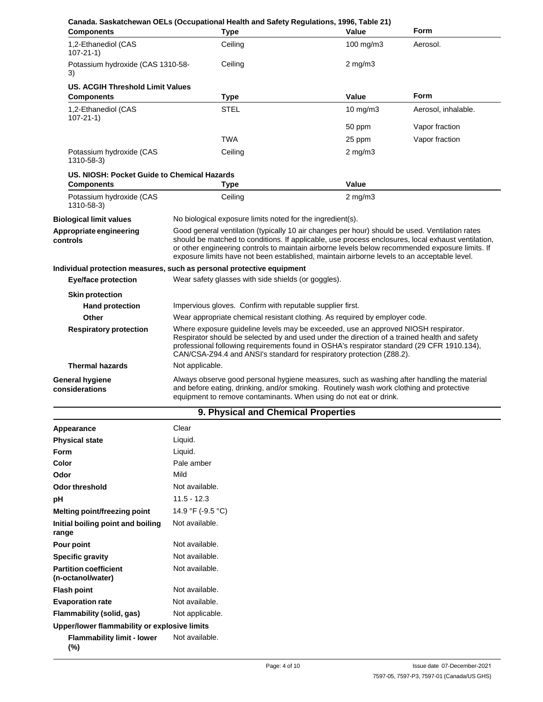| <b>Components</b>                           | <b>Type</b>                                                                                                                                                                                                                                                                                                                                                                                            | Canada. Saskatchewan OELs (Occupational Health and Safety Regulations, 1996, Table 21)<br>Value                                                                                                                                                             | Form                |
|---------------------------------------------|--------------------------------------------------------------------------------------------------------------------------------------------------------------------------------------------------------------------------------------------------------------------------------------------------------------------------------------------------------------------------------------------------------|-------------------------------------------------------------------------------------------------------------------------------------------------------------------------------------------------------------------------------------------------------------|---------------------|
| 1,2-Ethanediol (CAS<br>$107 - 21 - 1$       | Ceiling                                                                                                                                                                                                                                                                                                                                                                                                | 100 mg/m3                                                                                                                                                                                                                                                   | Aerosol.            |
| Potassium hydroxide (CAS 1310-58-<br>3)     | Ceiling                                                                                                                                                                                                                                                                                                                                                                                                | $2$ mg/m $3$                                                                                                                                                                                                                                                |                     |
| US. ACGIH Threshold Limit Values            |                                                                                                                                                                                                                                                                                                                                                                                                        |                                                                                                                                                                                                                                                             |                     |
| <b>Components</b>                           | <b>Type</b>                                                                                                                                                                                                                                                                                                                                                                                            | Value                                                                                                                                                                                                                                                       | <b>Form</b>         |
| 1,2-Ethanediol (CAS<br>$107 - 21 - 1$       | <b>STEL</b>                                                                                                                                                                                                                                                                                                                                                                                            | 10 mg/m3                                                                                                                                                                                                                                                    | Aerosol, inhalable. |
|                                             |                                                                                                                                                                                                                                                                                                                                                                                                        | 50 ppm                                                                                                                                                                                                                                                      | Vapor fraction      |
|                                             | <b>TWA</b>                                                                                                                                                                                                                                                                                                                                                                                             | 25 ppm                                                                                                                                                                                                                                                      | Vapor fraction      |
| Potassium hydroxide (CAS<br>1310-58-3)      | Ceiling                                                                                                                                                                                                                                                                                                                                                                                                | $2$ mg/m $3$                                                                                                                                                                                                                                                |                     |
| US. NIOSH: Pocket Guide to Chemical Hazards |                                                                                                                                                                                                                                                                                                                                                                                                        |                                                                                                                                                                                                                                                             |                     |
| <b>Components</b>                           | <b>Type</b>                                                                                                                                                                                                                                                                                                                                                                                            | Value                                                                                                                                                                                                                                                       |                     |
| Potassium hydroxide (CAS<br>1310-58-3)      | Ceiling                                                                                                                                                                                                                                                                                                                                                                                                | $2$ mg/m $3$                                                                                                                                                                                                                                                |                     |
| <b>Biological limit values</b>              | No biological exposure limits noted for the ingredient(s).                                                                                                                                                                                                                                                                                                                                             |                                                                                                                                                                                                                                                             |                     |
| Appropriate engineering<br>controls         | Good general ventilation (typically 10 air changes per hour) should be used. Ventilation rates<br>should be matched to conditions. If applicable, use process enclosures, local exhaust ventilation,<br>or other engineering controls to maintain airborne levels below recommended exposure limits. If<br>exposure limits have not been established, maintain airborne levels to an acceptable level. |                                                                                                                                                                                                                                                             |                     |
|                                             | Individual protection measures, such as personal protective equipment                                                                                                                                                                                                                                                                                                                                  |                                                                                                                                                                                                                                                             |                     |
| <b>Eye/face protection</b>                  | Wear safety glasses with side shields (or goggles).                                                                                                                                                                                                                                                                                                                                                    |                                                                                                                                                                                                                                                             |                     |
| <b>Skin protection</b>                      |                                                                                                                                                                                                                                                                                                                                                                                                        |                                                                                                                                                                                                                                                             |                     |
| <b>Hand protection</b>                      | Impervious gloves. Confirm with reputable supplier first.                                                                                                                                                                                                                                                                                                                                              |                                                                                                                                                                                                                                                             |                     |
| Other                                       |                                                                                                                                                                                                                                                                                                                                                                                                        | Wear appropriate chemical resistant clothing. As required by employer code.                                                                                                                                                                                 |                     |
| <b>Respiratory protection</b>               | Where exposure guideline levels may be exceeded, use an approved NIOSH respirator.<br>Respirator should be selected by and used under the direction of a trained health and safety<br>professional following requirements found in OSHA's respirator standard (29 CFR 1910.134),<br>CAN/CSA-Z94.4 and ANSI's standard for respiratory protection (Z88.2).                                              |                                                                                                                                                                                                                                                             |                     |
| <b>Thermal hazards</b>                      | Not applicable.                                                                                                                                                                                                                                                                                                                                                                                        |                                                                                                                                                                                                                                                             |                     |
| <b>General hygiene</b><br>considerations    |                                                                                                                                                                                                                                                                                                                                                                                                        | Always observe good personal hygiene measures, such as washing after handling the material<br>and before eating, drinking, and/or smoking. Routinely wash work clothing and protective<br>equipment to remove contaminants. When using do not eat or drink. |                     |

## **9. Physical and Chemical Properties**

| Appearance                                        | Clear             |
|---------------------------------------------------|-------------------|
| <b>Physical state</b>                             | Liquid.           |
| Form                                              | Liquid.           |
| Color                                             | Pale amber        |
| Odor                                              | Mild              |
| Odor threshold                                    | Not available.    |
| pH                                                | $11.5 - 12.3$     |
| Melting point/freezing point                      | 14.9 °F (-9.5 °C) |
| Initial boiling point and boiling<br>range        | Not available.    |
| Pour point                                        | Not available.    |
| <b>Specific gravity</b>                           | Not available.    |
| <b>Partition coefficient</b><br>(n-octanol/water) | Not available.    |
| <b>Flash point</b>                                | Not available.    |
| <b>Evaporation rate</b>                           | Not available.    |
| Flammability (solid, gas)                         | Not applicable.   |
| Upper/lower flammability or explosive limits      |                   |
| <b>Flammability limit - lower</b><br>$(\%)$       | Not available.    |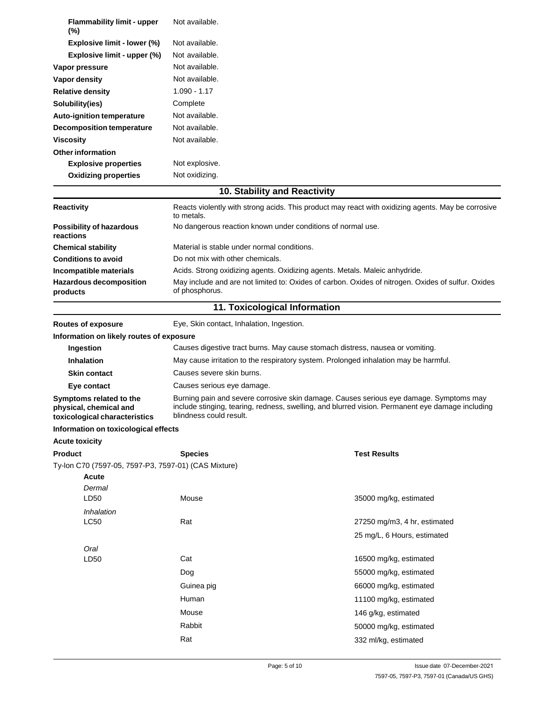| <b>Flammability limit - upper</b><br>$(\%)$                                        | Not available.                                                                                                                                                                                                        |                              |
|------------------------------------------------------------------------------------|-----------------------------------------------------------------------------------------------------------------------------------------------------------------------------------------------------------------------|------------------------------|
| Explosive limit - lower (%)                                                        | Not available.                                                                                                                                                                                                        |                              |
| Explosive limit - upper (%)                                                        | Not available.                                                                                                                                                                                                        |                              |
| Vapor pressure                                                                     | Not available.                                                                                                                                                                                                        |                              |
| Vapor density                                                                      | Not available.                                                                                                                                                                                                        |                              |
| <b>Relative density</b>                                                            | $1.090 - 1.17$                                                                                                                                                                                                        |                              |
| Solubility(ies)                                                                    | Complete                                                                                                                                                                                                              |                              |
| Auto-ignition temperature                                                          | Not available.                                                                                                                                                                                                        |                              |
| <b>Decomposition temperature</b>                                                   | Not available.                                                                                                                                                                                                        |                              |
| <b>Viscosity</b>                                                                   | Not available.                                                                                                                                                                                                        |                              |
| <b>Other information</b>                                                           |                                                                                                                                                                                                                       |                              |
| <b>Explosive properties</b>                                                        | Not explosive.                                                                                                                                                                                                        |                              |
| <b>Oxidizing properties</b>                                                        | Not oxidizing.                                                                                                                                                                                                        |                              |
|                                                                                    | 10. Stability and Reactivity                                                                                                                                                                                          |                              |
|                                                                                    |                                                                                                                                                                                                                       |                              |
| <b>Reactivity</b>                                                                  | Reacts violently with strong acids. This product may react with oxidizing agents. May be corrosive<br>to metals.                                                                                                      |                              |
| <b>Possibility of hazardous</b>                                                    | No dangerous reaction known under conditions of normal use.                                                                                                                                                           |                              |
| reactions                                                                          |                                                                                                                                                                                                                       |                              |
| <b>Chemical stability</b>                                                          | Material is stable under normal conditions.                                                                                                                                                                           |                              |
| <b>Conditions to avoid</b>                                                         | Do not mix with other chemicals.                                                                                                                                                                                      |                              |
| Incompatible materials                                                             | Acids. Strong oxidizing agents. Oxidizing agents. Metals. Maleic anhydride.                                                                                                                                           |                              |
| <b>Hazardous decomposition</b>                                                     | May include and are not limited to: Oxides of carbon. Oxides of nitrogen. Oxides of sulfur. Oxides                                                                                                                    |                              |
| products                                                                           | of phosphorus.                                                                                                                                                                                                        |                              |
|                                                                                    | 11. Toxicological Information                                                                                                                                                                                         |                              |
| <b>Routes of exposure</b>                                                          | Eye, Skin contact, Inhalation, Ingestion.                                                                                                                                                                             |                              |
| Information on likely routes of exposure                                           |                                                                                                                                                                                                                       |                              |
| Ingestion                                                                          | Causes digestive tract burns. May cause stomach distress, nausea or vomiting.                                                                                                                                         |                              |
| <b>Inhalation</b>                                                                  | May cause irritation to the respiratory system. Prolonged inhalation may be harmful.                                                                                                                                  |                              |
| <b>Skin contact</b>                                                                | Causes severe skin burns.                                                                                                                                                                                             |                              |
| Eye contact                                                                        | Causes serious eye damage.                                                                                                                                                                                            |                              |
| Symptoms related to the<br>physical, chemical and<br>toxicological characteristics | Burning pain and severe corrosive skin damage. Causes serious eye damage. Symptoms may<br>include stinging, tearing, redness, swelling, and blurred vision. Permanent eye damage including<br>blindness could result. |                              |
| Information on toxicological effects                                               |                                                                                                                                                                                                                       |                              |
| <b>Acute toxicity</b>                                                              |                                                                                                                                                                                                                       |                              |
| <b>Product</b>                                                                     | <b>Species</b>                                                                                                                                                                                                        | <b>Test Results</b>          |
| Ty-lon C70 (7597-05, 7597-P3, 7597-01) (CAS Mixture)                               |                                                                                                                                                                                                                       |                              |
| <b>Acute</b>                                                                       |                                                                                                                                                                                                                       |                              |
| Dermal                                                                             |                                                                                                                                                                                                                       |                              |
| LD <sub>50</sub>                                                                   | Mouse                                                                                                                                                                                                                 | 35000 mg/kg, estimated       |
| Inhalation                                                                         |                                                                                                                                                                                                                       |                              |
| <b>LC50</b>                                                                        | Rat                                                                                                                                                                                                                   | 27250 mg/m3, 4 hr, estimated |
|                                                                                    |                                                                                                                                                                                                                       | 25 mg/L, 6 Hours, estimated  |
| Oral                                                                               |                                                                                                                                                                                                                       |                              |
| LD50                                                                               | Cat                                                                                                                                                                                                                   | 16500 mg/kg, estimated       |
|                                                                                    | Dog                                                                                                                                                                                                                   | 55000 mg/kg, estimated       |
|                                                                                    | Guinea pig                                                                                                                                                                                                            | 66000 mg/kg, estimated       |
|                                                                                    | Human                                                                                                                                                                                                                 | 11100 mg/kg, estimated       |
|                                                                                    | Mouse                                                                                                                                                                                                                 | 146 g/kg, estimated          |
|                                                                                    | Rabbit                                                                                                                                                                                                                | 50000 mg/kg, estimated       |
|                                                                                    | Rat                                                                                                                                                                                                                   |                              |
|                                                                                    |                                                                                                                                                                                                                       | 332 ml/kg, estimated         |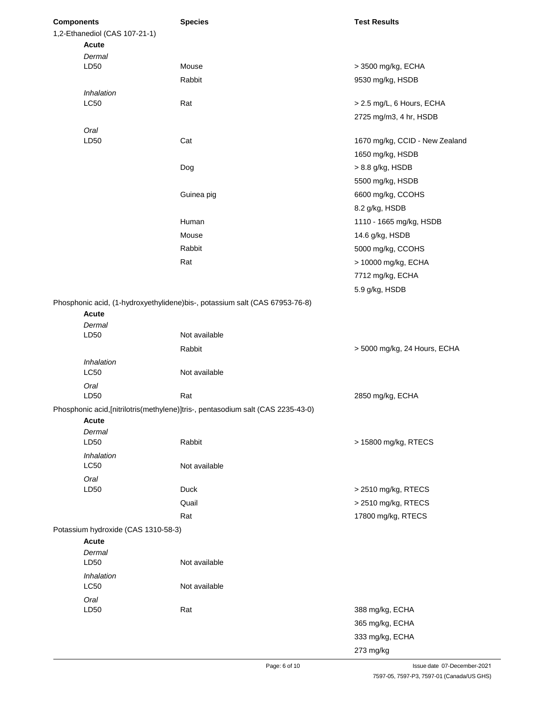| <b>Components</b> |                                     | <b>Species</b>                                                                   | <b>Test Results</b>            |
|-------------------|-------------------------------------|----------------------------------------------------------------------------------|--------------------------------|
|                   | 1,2-Ethanediol (CAS 107-21-1)       |                                                                                  |                                |
|                   | <b>Acute</b>                        |                                                                                  |                                |
|                   | Dermal                              |                                                                                  |                                |
|                   | LD50                                | Mouse                                                                            | > 3500 mg/kg, ECHA             |
|                   |                                     | Rabbit                                                                           | 9530 mg/kg, HSDB               |
|                   | Inhalation<br><b>LC50</b>           | Rat                                                                              | > 2.5 mg/L, 6 Hours, ECHA      |
|                   |                                     |                                                                                  | 2725 mg/m3, 4 hr, HSDB         |
|                   |                                     |                                                                                  |                                |
|                   | Oral<br>LD50                        | Cat                                                                              | 1670 mg/kg, CCID - New Zealand |
|                   |                                     |                                                                                  | 1650 mg/kg, HSDB               |
|                   |                                     |                                                                                  | > 8.8 g/kg, HSDB               |
|                   |                                     | Dog                                                                              |                                |
|                   |                                     |                                                                                  | 5500 mg/kg, HSDB               |
|                   |                                     | Guinea pig                                                                       | 6600 mg/kg, CCOHS              |
|                   |                                     |                                                                                  | 8.2 g/kg, HSDB                 |
|                   |                                     | Human                                                                            | 1110 - 1665 mg/kg, HSDB        |
|                   |                                     | Mouse                                                                            | 14.6 g/kg, HSDB                |
|                   |                                     | Rabbit                                                                           | 5000 mg/kg, CCOHS              |
|                   |                                     | Rat                                                                              | > 10000 mg/kg, ECHA            |
|                   |                                     |                                                                                  | 7712 mg/kg, ECHA               |
|                   |                                     |                                                                                  | 5.9 g/kg, HSDB                 |
|                   |                                     | Phosphonic acid, (1-hydroxyethylidene) bis-, potassium salt (CAS 67953-76-8)     |                                |
|                   | <b>Acute</b>                        |                                                                                  |                                |
|                   | Dermal                              |                                                                                  |                                |
|                   | LD50                                | Not available                                                                    |                                |
|                   |                                     | Rabbit                                                                           | > 5000 mg/kg, 24 Hours, ECHA   |
|                   | Inhalation                          |                                                                                  |                                |
|                   | <b>LC50</b>                         | Not available                                                                    |                                |
|                   | Oral                                |                                                                                  |                                |
|                   | LD50                                | Rat                                                                              | 2850 mg/kg, ECHA               |
|                   | <b>Acute</b>                        | Phosphonic acid, [nitrilotris(methylene)]tris-, pentasodium salt (CAS 2235-43-0) |                                |
|                   | Dermal                              |                                                                                  |                                |
|                   | LD50                                | Rabbit                                                                           | > 15800 mg/kg, RTECS           |
|                   | Inhalation                          |                                                                                  |                                |
|                   | <b>LC50</b>                         | Not available                                                                    |                                |
|                   | Oral                                |                                                                                  |                                |
|                   | LD50                                | <b>Duck</b>                                                                      | > 2510 mg/kg, RTECS            |
|                   |                                     | Quail                                                                            | > 2510 mg/kg, RTECS            |
|                   |                                     | Rat                                                                              | 17800 mg/kg, RTECS             |
|                   | Potassium hydroxide (CAS 1310-58-3) |                                                                                  |                                |
|                   | Acute                               |                                                                                  |                                |
|                   | Dermal                              |                                                                                  |                                |
|                   | LD50                                | Not available                                                                    |                                |
|                   | Inhalation<br><b>LC50</b>           | Not available                                                                    |                                |
|                   | Oral                                |                                                                                  |                                |
|                   | LD50                                | Rat                                                                              | 388 mg/kg, ECHA                |
|                   |                                     |                                                                                  | 365 mg/kg, ECHA                |
|                   |                                     |                                                                                  | 333 mg/kg, ECHA                |
|                   |                                     |                                                                                  | 273 mg/kg                      |
|                   |                                     |                                                                                  |                                |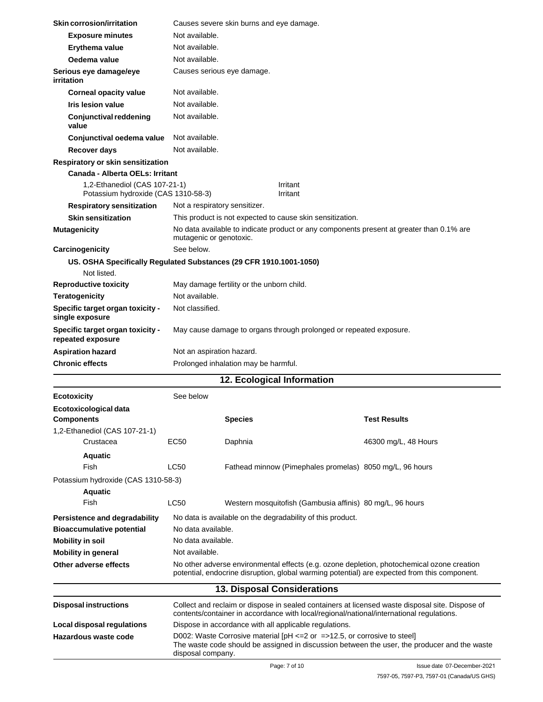| Skin corrosion/irritation                                            |                               | Causes severe skin burns and eye damage.                                                 |                                                                                                                                                                                            |
|----------------------------------------------------------------------|-------------------------------|------------------------------------------------------------------------------------------|--------------------------------------------------------------------------------------------------------------------------------------------------------------------------------------------|
| <b>Exposure minutes</b>                                              | Not available.                |                                                                                          |                                                                                                                                                                                            |
| Erythema value                                                       | Not available.                |                                                                                          |                                                                                                                                                                                            |
| Oedema value                                                         | Not available.                |                                                                                          |                                                                                                                                                                                            |
| Serious eye damage/eye<br>irritation                                 |                               | Causes serious eye damage.                                                               |                                                                                                                                                                                            |
| <b>Corneal opacity value</b>                                         | Not available.                |                                                                                          |                                                                                                                                                                                            |
| Iris lesion value                                                    | Not available.                |                                                                                          |                                                                                                                                                                                            |
| <b>Conjunctival reddening</b><br>value                               | Not available.                |                                                                                          |                                                                                                                                                                                            |
| Conjunctival oedema value                                            | Not available.                |                                                                                          |                                                                                                                                                                                            |
| <b>Recover days</b>                                                  | Not available.                |                                                                                          |                                                                                                                                                                                            |
| Respiratory or skin sensitization                                    |                               |                                                                                          |                                                                                                                                                                                            |
| Canada - Alberta OELs: Irritant                                      |                               |                                                                                          |                                                                                                                                                                                            |
| 1,2-Ethanediol (CAS 107-21-1)<br>Potassium hydroxide (CAS 1310-58-3) |                               | Irritant<br>Irritant                                                                     |                                                                                                                                                                                            |
| <b>Respiratory sensitization</b>                                     | Not a respiratory sensitizer. |                                                                                          |                                                                                                                                                                                            |
| <b>Skin sensitization</b>                                            |                               | This product is not expected to cause skin sensitization.                                |                                                                                                                                                                                            |
| <b>Mutagenicity</b>                                                  | mutagenic or genotoxic.       |                                                                                          | No data available to indicate product or any components present at greater than 0.1% are                                                                                                   |
| Carcinogenicity                                                      | See below.                    |                                                                                          |                                                                                                                                                                                            |
|                                                                      |                               | US. OSHA Specifically Regulated Substances (29 CFR 1910.1001-1050)                       |                                                                                                                                                                                            |
| Not listed.                                                          |                               |                                                                                          |                                                                                                                                                                                            |
| <b>Reproductive toxicity</b>                                         |                               | May damage fertility or the unborn child.                                                |                                                                                                                                                                                            |
| <b>Teratogenicity</b>                                                | Not available.                |                                                                                          |                                                                                                                                                                                            |
| Specific target organ toxicity -<br>single exposure                  | Not classified.               |                                                                                          |                                                                                                                                                                                            |
| Specific target organ toxicity -<br>repeated exposure                |                               | May cause damage to organs through prolonged or repeated exposure.                       |                                                                                                                                                                                            |
| <b>Aspiration hazard</b>                                             | Not an aspiration hazard.     |                                                                                          |                                                                                                                                                                                            |
| <b>Chronic effects</b>                                               |                               | Prolonged inhalation may be harmful.                                                     |                                                                                                                                                                                            |
|                                                                      |                               | 12. Ecological Information                                                               |                                                                                                                                                                                            |
| <b>Ecotoxicity</b>                                                   | See below                     |                                                                                          |                                                                                                                                                                                            |
| Ecotoxicological data                                                |                               |                                                                                          |                                                                                                                                                                                            |
| <b>Components</b>                                                    |                               | <b>Species</b>                                                                           | Test Results                                                                                                                                                                               |
| 1,2-Ethanediol (CAS 107-21-1)                                        |                               |                                                                                          |                                                                                                                                                                                            |
| Crustacea                                                            | EC50                          | Daphnia                                                                                  | 46300 mg/L, 48 Hours                                                                                                                                                                       |
| Aquatic                                                              |                               |                                                                                          |                                                                                                                                                                                            |
| Fish                                                                 | LC50                          | Fathead minnow (Pimephales promelas) 8050 mg/L, 96 hours                                 |                                                                                                                                                                                            |
| Potassium hydroxide (CAS 1310-58-3)                                  |                               |                                                                                          |                                                                                                                                                                                            |
| <b>Aquatic</b>                                                       |                               |                                                                                          |                                                                                                                                                                                            |
| Fish                                                                 | LC50                          | Western mosquitofish (Gambusia affinis) 80 mg/L, 96 hours                                |                                                                                                                                                                                            |
| Persistence and degradability                                        |                               | No data is available on the degradability of this product.                               |                                                                                                                                                                                            |
| <b>Bioaccumulative potential</b>                                     | No data available.            |                                                                                          |                                                                                                                                                                                            |
| <b>Mobility in soil</b>                                              | No data available.            |                                                                                          |                                                                                                                                                                                            |
| <b>Mobility in general</b>                                           | Not available.                |                                                                                          |                                                                                                                                                                                            |
| Other adverse effects                                                |                               |                                                                                          | No other adverse environmental effects (e.g. ozone depletion, photochemical ozone creation<br>potential, endocrine disruption, global warming potential) are expected from this component. |
|                                                                      |                               | 13. Disposal Considerations                                                              |                                                                                                                                                                                            |
| <b>Disposal instructions</b>                                         |                               | contents/container in accordance with local/regional/national/international regulations. | Collect and reclaim or dispose in sealed containers at licensed waste disposal site. Dispose of                                                                                            |
| Local disposal regulations                                           |                               | Dispose in accordance with all applicable regulations.                                   |                                                                                                                                                                                            |
| Hazardous waste code                                                 | disposal company.             | D002: Waste Corrosive material $[PH \le 2$ or $= >12.5$ , or corrosive to steel          | The waste code should be assigned in discussion between the user, the producer and the waste                                                                                               |
|                                                                      |                               | Page: 7 of 10                                                                            | Issue date 07-December-2021                                                                                                                                                                |

 $\overline{\phantom{0}}$  $\overline{\phantom{0}}$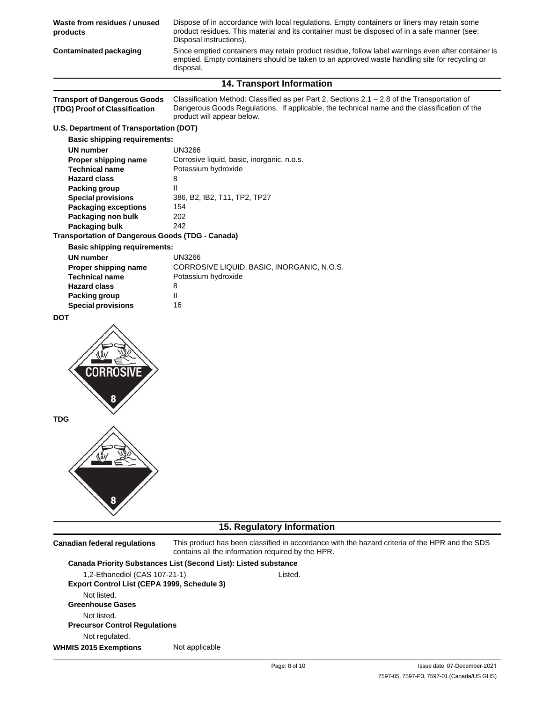| Waste from residues / unused<br>products                             | Dispose of in accordance with local regulations. Empty containers or liners may retain some<br>product residues. This material and its container must be disposed of in a safe manner (see:<br>Disposal instructions).       |
|----------------------------------------------------------------------|------------------------------------------------------------------------------------------------------------------------------------------------------------------------------------------------------------------------------|
| <b>Contaminated packaging</b>                                        | Since emptied containers may retain product residue, follow label warnings even after container is<br>emptied. Empty containers should be taken to an approved waste handling site for recycling or<br>disposal.             |
|                                                                      | 14. Transport Information                                                                                                                                                                                                    |
| <b>Transport of Dangerous Goods</b><br>(TDG) Proof of Classification | Classification Method: Classified as per Part 2, Sections $2.1 - 2.8$ of the Transportation of<br>Dangerous Goods Regulations. If applicable, the technical name and the classification of the<br>product will appear below. |
| U.S. Department of Transportation (DOT)                              |                                                                                                                                                                                                                              |
| <b>Basic shipping requirements:</b>                                  |                                                                                                                                                                                                                              |
| <b>UN number</b>                                                     | <b>UN3266</b>                                                                                                                                                                                                                |
| Proper shipping name                                                 | Corrosive liquid, basic, inorganic, n.o.s.                                                                                                                                                                                   |
| <b>Technical name</b>                                                | Potassium hydroxide                                                                                                                                                                                                          |
| <b>Hazard class</b>                                                  | 8                                                                                                                                                                                                                            |
| <b>Packing group</b><br><b>Special provisions</b>                    | Ш<br>386, B2, IB2, T11, TP2, TP27                                                                                                                                                                                            |
| <b>Packaging exceptions</b>                                          | 154                                                                                                                                                                                                                          |
| Packaging non bulk                                                   | 202                                                                                                                                                                                                                          |
| Packaging bulk                                                       | 242                                                                                                                                                                                                                          |
| <b>Transportation of Dangerous Goods (TDG - Canada)</b>              |                                                                                                                                                                                                                              |
| <b>Basic shipping requirements:</b>                                  |                                                                                                                                                                                                                              |
| <b>UN number</b>                                                     | <b>UN3266</b>                                                                                                                                                                                                                |
| Proper shipping name                                                 | CORROSIVE LIQUID, BASIC, INORGANIC, N.O.S.                                                                                                                                                                                   |
| <b>Technical name</b>                                                | Potassium hydroxide                                                                                                                                                                                                          |
| <b>Hazard class</b>                                                  | 8                                                                                                                                                                                                                            |
| <b>Packing group</b>                                                 | Ш                                                                                                                                                                                                                            |
| <b>Special provisions</b>                                            | 16                                                                                                                                                                                                                           |
| <b>DOT</b><br>Corrosive                                              |                                                                                                                                                                                                                              |
| TDG                                                                  |                                                                                                                                                                                                                              |
|                                                                      |                                                                                                                                                                                                                              |
|                                                                      | 15. Regulatory Information                                                                                                                                                                                                   |
| <b>Canadian federal regulations</b>                                  | This product has been classified in accordance with the hazard criteria of the HPR and the SDS<br>contains all the information required by the HPR.                                                                          |
|                                                                      | Canada Priority Substances List (Second List): Listed substance                                                                                                                                                              |

1,2-Ethanediol (CAS 107-21-1) **Export Control List (CEPA 1999, Schedule 3)** Not listed. **Greenhouse Gases** Not listed. **Precursor Control Regulations** Not regulated. Listed. **WHMIS 2015 Exemptions** Not applicable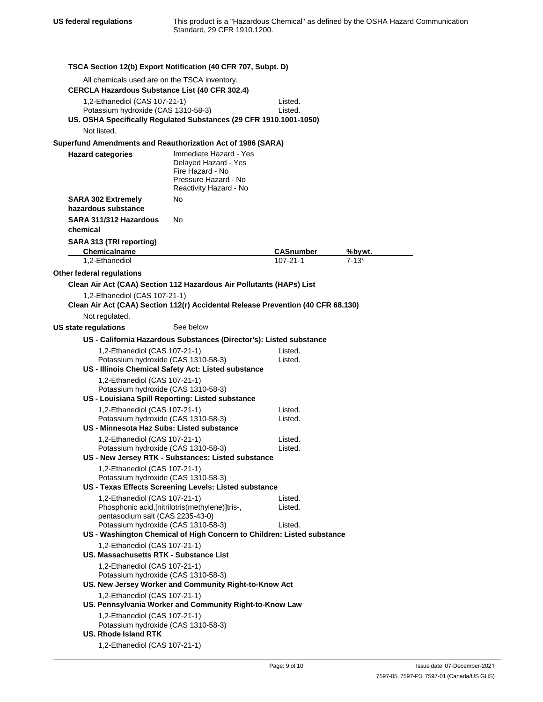**TSCA Section 12(b) Export Notification (40 CFR 707, Subpt. D)** All chemicals used are on the TSCA inventory. **CERCLA Hazardous Substance List (40 CFR 302.4)** 1,2-Ethanediol (CAS 107-21-1) Potassium hydroxide (CAS 1310-58-3) Listed. Listed. **US. OSHA Specifically Regulated Substances (29 CFR 1910.1001-1050)** Not listed. **Superfund Amendments and Reauthorization Act of 1986 (SARA) Hazard categories** Immediate Hazard - Yes Delayed Hazard - Yes Fire Hazard - No Pressure Hazard - No Reactivity Hazard - No **SARA 302 Extremely** No **hazardous substance SARA 311/312 Hazardous chemical SARA 313 (TRI reporting)** No **Chemicalname CASnumber %bywt.** 1,2-Ethanediol **Other federal regulations** 107-21-1 7-13\* **Clean Air Act (CAA) Section 112 Hazardous Air Pollutants (HAPs) List** 1,2-Ethanediol (CAS 107-21-1) **Clean Air Act (CAA) Section 112(r) Accidental Release Prevention (40 CFR 68.130)** Not regulated. **US state regulations** See below **US - California Hazardous Substances (Director's): Listed substance** 1,2-Ethanediol (CAS 107-21-1) Potassium hydroxide (CAS 1310-58-3) **US - Illinois Chemical Safety Act: Listed substance** 1,2-Ethanediol (CAS 107-21-1) Potassium hydroxide (CAS 1310-58-3) **US - Louisiana Spill Reporting: Listed substance** 1,2-Ethanediol (CAS 107-21-1) Potassium hydroxide (CAS 1310-58-3) **US - Minnesota Haz Subs: Listed substance** 1,2-Ethanediol (CAS 107-21-1) Potassium hydroxide (CAS 1310-58-3) **US - New Jersey RTK - Substances: Listed substance** 1,2-Ethanediol (CAS 107-21-1) Potassium hydroxide (CAS 1310-58-3) Listed. Listed. Listed. Listed. Listed. Listed. **US - Texas Effects Screening Levels: Listed substance** 1,2-Ethanediol (CAS 107-21-1) Phosphonic acid,[nitrilotris(methylene)]tris-, pentasodium salt (CAS 2235-43-0) Potassium hydroxide (CAS 1310-58-3) Listed. Listed. Listed. **US - Washington Chemical of High Concern to Children: Listed substance** 1,2-Ethanediol (CAS 107-21-1) **US. Massachusetts RTK - Substance List** 1,2-Ethanediol (CAS 107-21-1) Potassium hydroxide (CAS 1310-58-3) **US. New Jersey Worker and Community Right-to-Know Act** 1,2-Ethanediol (CAS 107-21-1) **US. Pennsylvania Worker and Community Right-to-Know Law** 1,2-Ethanediol (CAS 107-21-1) Potassium hydroxide (CAS 1310-58-3) **US. Rhode Island RTK** 1,2-Ethanediol (CAS 107-21-1)